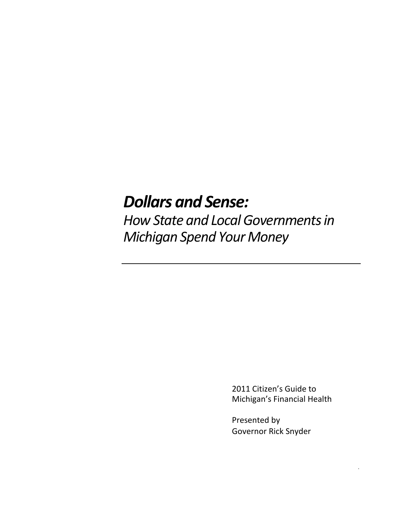# *Dollars and Sense:*

*How State and Local Governments in Michigan Spend Your Money*

> 2011 Citizen's Guide to Michigan's Financial Health

> > .

Presented by Governor Rick Snyder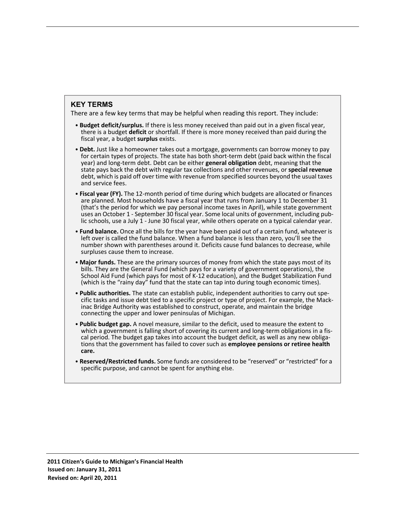#### **KEY TERMS**

There are a few key terms that may be helpful when reading this report. They include:

- **• Budget deficit/surplus.** If there is less money received than paid out in a given fiscal year, there is a budget **deficit** or shortfall. If there is more money received than paid during the fiscal year, a budget **surplus** exists.
- **•Debt.** Just like a homeowner takes out a mortgage, governments can borrow money to pay for certain types of projects. The state has both short-term debt (paid back within the fiscal year) and long-term debt. Debt can be either **general obligation** debt, meaning that the state pays back the debt with regular tax collections and other revenues, or **special revenue** debt, which is paid off over time with revenue from specified sources beyond the usual taxes and service fees.
- **• Fiscal year (FY).** The 12-month period of time during which budgets are allocated or finances are planned. Most households have a fiscal year that runs from January 1 to December 31 (that's the period for which we pay personal income taxes in April), while state government uses an October 1 - September 30 fiscal year. Some local units of government, including public schools, use a July 1 - June 30 fiscal year, while others operate on a typical calendar year.
- **• Fund balance.** Once all the bills for the year have been paid out of a certain fund, whatever is left over is called the fund balance. When a fund balance is less than zero, you'll see the number shown with parentheses around it. Deficits cause fund balances to decrease, while surpluses cause them to increase.
- **• Major funds.** These are the primary sources of money from which the state pays most of its bills. They are the General Fund (which pays for a variety of government operations), the School Aid Fund (which pays for most of K-12 education), and the Budget Stabilization Fund (which is the "rainy day" fund that the state can tap into during tough economic times).
- **• Public authorities.** The state can establish public, independent authorities to carry out specific tasks and issue debt tied to a specific project or type of project. For example, the Mackinac Bridge Authority was established to construct, operate, and maintain the bridge connecting the upper and lower peninsulas of Michigan.
- **• Public budget gap.** A novel measure, similar to the deficit, used to measure the extent to which a government is falling short of covering its current and long-term obligations in a fiscal period. The budget gap takes into account the budget deficit, as well as any new obligations that the government has failed to cover such as **employee pensions or retiree health care.**
- **• Reserved/Restricted funds.** Some funds are considered to be "reserved" or "restricted" for a specific purpose, and cannot be spent for anything else.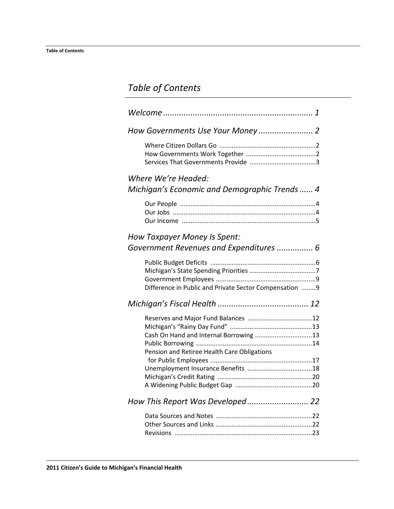# *Table of Contents*

| Where We're Headed:<br>Michigan's Economic and Demographic Trends  4                  |
|---------------------------------------------------------------------------------------|
|                                                                                       |
| How Taxpayer Money Is Spent:<br>Government Revenues and Expenditures  6               |
| Difference in Public and Private Sector Compensation  9                               |
|                                                                                       |
| Cash On Hand and Internal Borrowing 13<br>Pension and Retiree Health Care Obligations |
| How This Report Was Developed 22                                                      |
|                                                                                       |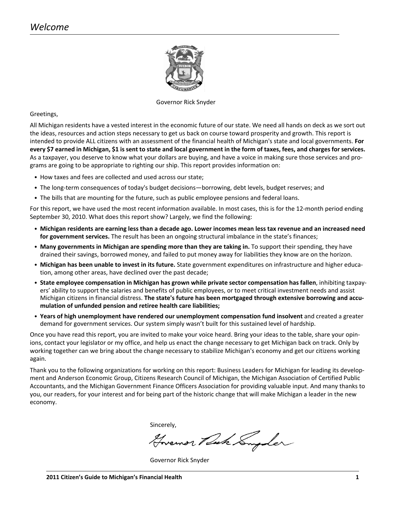

#### Governor Rick Snyder

<span id="page-3-0"></span>Greetings,

All Michigan residents have a vested interest in the economic future of our state. We need all hands on deck as we sort out the ideas, resources and action steps necessary to get us back on course toward prosperity and growth. This report is intended to provide ALL citizens with an assessment of the financial health of Michigan's state and local governments. **For every \$7 earned in Michigan, \$1 is sent to state and local government in the form of taxes, fees, and charges for services.** As a taxpayer, you deserve to know what your dollars are buying, and have a voice in making sure those services and programs are going to be appropriate to righting our ship. This report provides information on:

- **•** How taxes and fees are collected and used across our state;
- **•** The long-term consequences of today's budget decisions—borrowing, debt levels, budget reserves; and
- **•** The bills that are mounting for the future, such as public employee pensions and federal loans.

For this report, we have used the most recent information available. In most cases, this is for the 12-month period ending September 30, 2010. What does this report show? Largely, we find the following:

- **• Michigan residents are earning less than a decade ago. Lower incomes mean less tax revenue and an increased need for government services.** The result has been an ongoing structural imbalance in the state's finances;
- **• Many governments in Michigan are spending more than they are taking in.** To support their spending, they have drained their savings, borrowed money, and failed to put money away for liabilities they know are on the horizon.
- **• Michigan has been unable to invest in its future.** State government expenditures on infrastructure and higher education, among other areas, have declined over the past decade;
- **• State employee compensation in Michigan has grown while private sector compensation has fallen**, inhibiting taxpayers' ability to support the salaries and benefits of public employees, or to meet critical investment needs and assist Michigan citizens in financial distress. **The state's future has been mortgaged through extensive borrowing and accumulation of unfunded pension and retiree health care liabilities;**
- **• Years of high unemployment have rendered our unemployment compensation fund insolvent** and created a greater demand for government services. Our system simply wasn't built for this sustained level of hardship.

Once you have read this report, you are invited to make your voice heard. Bring your ideas to the table, share your opinions, contact your legislator or my office, and help us enact the change necessary to get Michigan back on track. Only by working together can we bring about the change necessary to stabilize Michigan's economy and get our citizens working again.

Thank you to the following organizations for working on this report: Business Leaders for Michigan for leading its development and Anderson Economic Group, Citizens Research Council of Michigan, the Michigan Association of Certified Public Accountants, and the Michigan Government Finance Officers Association for providing valuable input. And many thanks to you, our readers, for your interest and for being part of the historic change that will make Michigan a leader in the new economy.

Sincerely,

Hovemor Ruk Supler

Governor Rick Snyder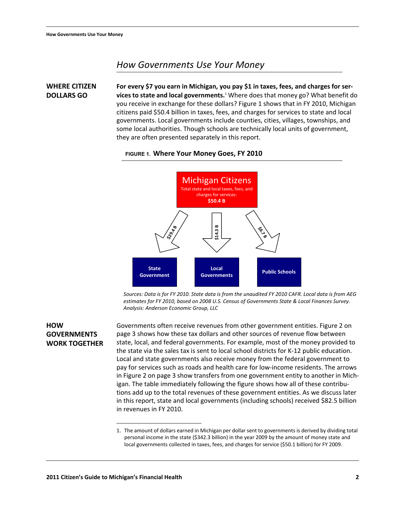# <span id="page-4-0"></span>*How Governments Use Your Money*

<span id="page-4-1"></span>**WHERE CITIZEN DOLLARS GO For every \$7 you earn in Michigan, you pay \$1 in taxes, fees, and charges for services to state and local governments.**<sup>1</sup> Where does that money go? What benefit do you receive in exchange for these dollars? [Figure 1](#page-4-3) shows that in FY 2010, Michigan citizens paid \$50.4 billion in taxes, fees, and charges for services to state and local governments. Local governments include counties, cities, villages, townships, and some local authorities. Though schools are technically local units of government, they are often presented separately in this report.



#### <span id="page-4-3"></span>**FIGURE 1. Where Your Money Goes, FY 2010**

*Sources: Data is for FY 2010. State data is from the unaudited FY 2010 CAFR. Local data is from AEG estimates for FY 2010, based on 2008 U.S. Census of Governments State & Local Finances Survey. Analysis: Anderson Economic Group, LLC*

#### <span id="page-4-2"></span>**HOW GOVERNMENTS WORK TOGETHER**

Governments often receive revenues from other government entities. [Figure 2 on](#page-5-1)  [page 3](#page-5-1) shows how these tax dollars and other sources of revenue flow between state, local, and federal governments. For example, most of the money provided to the state via the sales tax is sent to local school districts for K-12 public education. Local and state governments also receive money from the federal government to pay for services such as roads and health care for low-income residents. The arrows in [Figure 2 on page 3](#page-5-1) show transfers from one government entity to another in Michigan. The table immediately following the figure shows how all of these contributions add up to the total revenues of these government entities. As we discuss later in this report, state and local governments (including schools) received \$82.5 billion in revenues in FY 2010.

<sup>1.</sup> The amount of dollars earned in Michigan per dollar sent to governments is derived by dividing total personal income in the state (\$342.3 billion) in the year 2009 by the amount of money state and local governments collected in taxes, fees, and charges for service (\$50.1 billion) for FY 2009.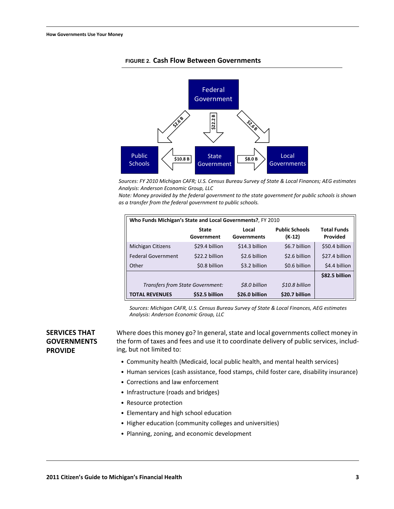

#### <span id="page-5-1"></span>**FIGURE 2. Cash Flow Between Governments**

*Sources: FY 2010 Michigan CAFR; U.S. Census Bureau Survey of State & Local Finances; AEG estimates Analysis: Anderson Economic Group, LLC*

*Note: Money provided by the federal government to the state government for public schools is shown as a transfer from the federal government to public schools.*

| Who Funds Michigan's State and Local Governments?, FY 2010 |                                                    |                |                                 |                                |  |  |  |
|------------------------------------------------------------|----------------------------------------------------|----------------|---------------------------------|--------------------------------|--|--|--|
|                                                            | Local<br><b>State</b><br>Government<br>Governments |                | <b>Public Schools</b><br>(K-12) | <b>Total Funds</b><br>Provided |  |  |  |
| <b>Michigan Citizens</b>                                   | \$29.4 billion                                     | \$14.3 billion | \$6.7 billion                   | \$50.4 billion                 |  |  |  |
| <b>Federal Government</b>                                  | \$22.2 billion                                     | \$2.6 billion  | \$2.6 billion                   | \$27.4 billion                 |  |  |  |
| Other                                                      | \$0.8 billion                                      | \$3.2 billion  | \$0.6 billion                   | \$4.4 billion                  |  |  |  |
|                                                            |                                                    |                |                                 | \$82.5 billion                 |  |  |  |
| Transfers from State Government:                           |                                                    | \$8.0 billion  | \$10.8 billion                  |                                |  |  |  |
| <b>TOTAL REVENUES</b>                                      | \$52.5 billion                                     | \$26.0 billion | \$20.7 billion                  |                                |  |  |  |

*Sources: Michigan CAFR, U.S. Census Bureau Survey of State & Local Finances, AEG estimates Analysis: Anderson Economic Group, LLC*

### <span id="page-5-0"></span>**SERVICES THAT GOVERNMENTS PROVIDE**

Where does this money go? In general, state and local governments collect money in the form of taxes and fees and use it to coordinate delivery of public services, including, but not limited to:

- **•** Community health (Medicaid, local public health, and mental health services)
- **•** Human services (cash assistance, food stamps, child foster care, disability insurance)
- **•** Corrections and law enforcement
- **•** Infrastructure (roads and bridges)
- **•** Resource protection
- **•** Elementary and high school education
- **•** Higher education (community colleges and universities)
- **•** Planning, zoning, and economic development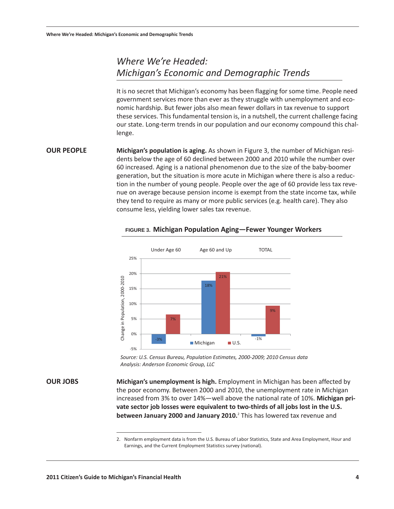# <span id="page-6-0"></span>*Where We're Headed: Michigan's Economic and Demographic Trends*

It is no secret that Michigan's economy has been flagging for some time. People need government services more than ever as they struggle with unemployment and economic hardship. But fewer jobs also mean fewer dollars in tax revenue to support these services. This fundamental tension is, in a nutshell, the current challenge facing our state. Long-term trends in our population and our economy compound this challenge.

<span id="page-6-1"></span>**OUR PEOPLE Michigan's population is aging.** As shown in [Figure 3,](#page-6-3) the number of Michigan residents below the age of 60 declined between 2000 and 2010 while the number over 60 increased. Aging is a national phenomenon due to the size of the baby-boomer generation, but the situation is more acute in Michigan where there is also a reduction in the number of young people. People over the age of 60 provide less tax revenue on average because pension income is exempt from the state income tax, while they tend to require as many or more public services (e.g. health care). They also consume less, yielding lower sales tax revenue.

<span id="page-6-3"></span>

#### **FIGURE 3. Michigan Population Aging—Fewer Younger Workers**

Please purchase 'e-PDF Converter and Creator' on http://www.e-pdfconverter.com to remove this message. *Analysis: Anderson Economic Group, LLC Source: U.S. Census Bureau, Population Estimates, 2000Ͳ2009; 2010 Census data*

<span id="page-6-2"></span>**OUR JOBS Michigan's unemployment is high.** Employment in Michigan has been affected by the poor economy. Between 2000 and 2010, the unemployment rate in Michigan increased from 3% to over 14%—well above the national rate of 10%. Michigan pri**vate sector job losses were equivalent to twoͲthirds of all jobs lost in the U.S. between January 2000 and January 2010.**<sup>2</sup> This has lowered tax revenue and

<sup>2.</sup> Nonfarm employment data is from the U.S. Bureau of Labor Statistics, State and Area Employment, Hour and Earnings, and the Current Employment Statistics survey (national).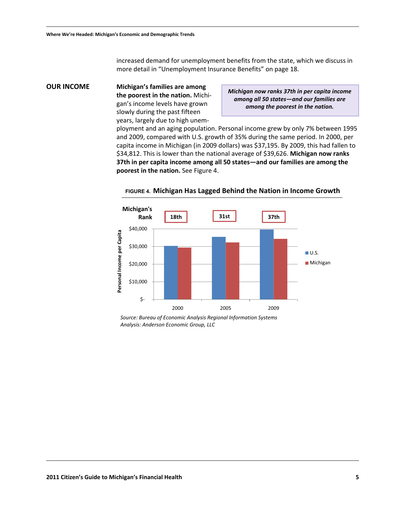increased demand for unemployment benefits from the state, which we discuss in more detail in ["Unemployment Insurance Benefits" on page 18](#page-20-1).

<span id="page-7-0"></span>**OUR INCOME Michigan's families are among the poorest in the nation.** Michigan's income levels have grown slowly during the past fifteen years, largely due to high unem-

*Michigan now ranks 37th in per capita income among all 50 states—and our families are among the poorest in the nation.*

ployment and an aging population. Personal income grew by only 7% between 1995 and 2009, compared with U.S. growth of 35% during the same period. In 2000, per capita income in Michigan (in 2009 dollars) was \$37,195. By 2009, this had fallen to \$34,812. This is lower than the national average of \$39,626. **Michigan now ranks 37th in per capita income among all 50 states—and our families are among the poorest in the nation.** See [Figure 4](#page-7-1).



<span id="page-7-1"></span>**FIGURE 4. Michigan Has Lagged Behind the Nation in Income Growth**

*Source: Bureau of Economic Analysis Regional Information Systems Analysis: Anderson Economic Group, LLC*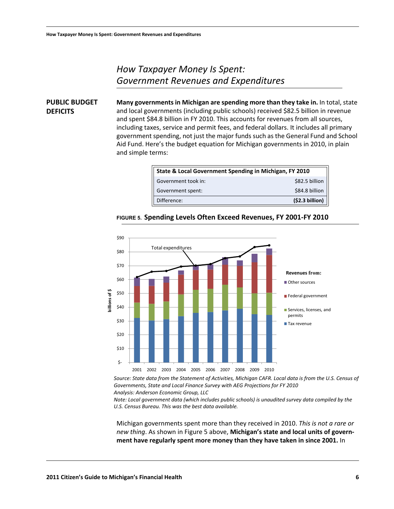**DEFICITS**

# <span id="page-8-0"></span>*How Taxpayer Money Is Spent: Government Revenues and Expenditures*

<span id="page-8-1"></span>**PUBLIC BUDGET Many governments in Michigan are spending more than they take in.** In total, state and local governments (including public schools) received \$82.5 billion in revenue and spent \$84.8 billion in FY 2010. This accounts for revenues from all sources, including taxes, service and permit fees, and federal dollars. It includes all primary government spending, not just the major funds such as the General Fund and School Aid Fund. Here's the budget equation for Michigan governments in 2010, in plain and simple terms:

| State & Local Government Spending in Michigan, FY 2010 |                |  |  |  |
|--------------------------------------------------------|----------------|--|--|--|
| Government took in:                                    | \$82.5 billion |  |  |  |
| Government spent:                                      | \$84.8 billion |  |  |  |
| Difference:                                            | (52.3 billion) |  |  |  |



#### <span id="page-8-2"></span>**FIGURE 5. Spending Levels Often Exceed Revenues, FY 2001-FY 2010**

*Source: State data from the Statement of Activities, Michigan CAFR. Local data is from the U.S. Census of Governments, State and Local Finance Survey with AEG Projections for FY 2010 Analysis: Anderson Economic Group, LLC*

*Note: Local government data (which includes public schools) is unaudited survey data compiled by the U.S. Census Bureau. This was the best data available.*

Michigan governments spent more than they received in 2010. *This is not a rare or new thing*. As shown in [Figure 5](#page-8-2) above, **Michigan's state and local units of government have regularly spent more money than they have taken in since 2001.** In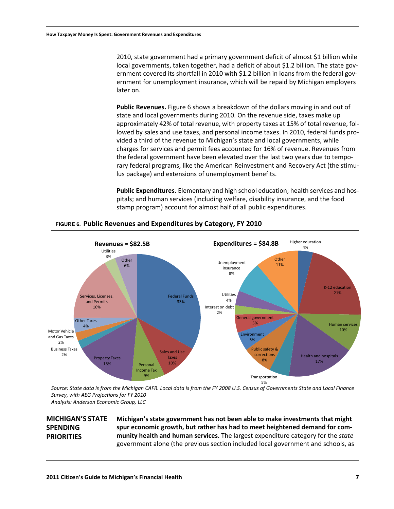2010, state government had a primary government deficit of almost \$1 billion while local governments, taken together, had a deficit of about \$1.2 billion. The state government covered its shortfall in 2010 with \$1.2 billion in loans from the federal government for unemployment insurance, which will be repaid by Michigan employers later on.

**Public Revenues.** [Figure 6](#page-9-1) shows a breakdown of the dollars moving in and out of state and local governments during 2010. On the revenue side, taxes make up approximately 42% of total revenue, with property taxes at 15% of total revenue, followed by sales and use taxes, and personal income taxes. In 2010, federal funds provided a third of the revenue to Michigan's state and local governments, while charges for services and permit fees accounted for 16% of revenue. Revenues from the federal government have been elevated over the last two years due to temporary federal programs, like the American Reinvestment and Recovery Act (the stimulus package) and extensions of unemployment benefits.

**Public Expenditures.** Elementary and high school education; health services and hospitals; and human services (including welfare, disability insurance, and the food stamp program) account for almost half of all public expenditures.



#### <span id="page-9-1"></span>**FIGURE 6. Public Revenues and Expenditures by Category, FY 2010**

*Source: State data is from the Michigan CAFR. Local data is from the FY 2008 U.S. Census of Governments State and Local Finance Survey, with AEG Projections for FY 2010 Analysis: Anderson Economic Group, LLC*

### <span id="page-9-0"></span>**MICHIGAN'S STATE SPENDING PRIORITIES**

**Michigan's state government has not been able to make investments that might spur economic growth, but rather has had to meet heightened demand for community health and human services.** The largest expenditure category for the *state* government alone (the previous section included local government and schools, as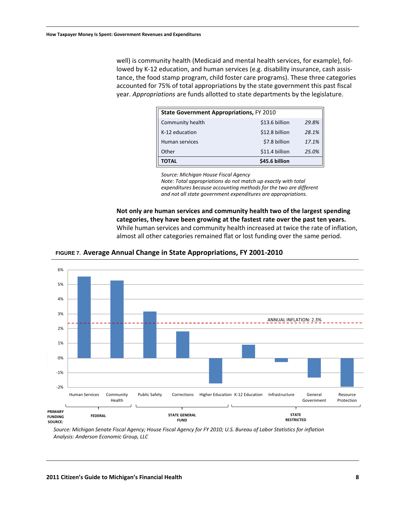well) is community health (Medicaid and mental health services, for example), followed by K-12 education, and human services (e.g. disability insurance, cash assistance, the food stamp program, child foster care programs). These three categories accounted for 75% of total appropriations by the state government this past fiscal year. *Appropriations* are funds allotted to state departments by the legislature.

| <b>State Government Appropriations, FY 2010</b> |                |       |  |  |  |
|-------------------------------------------------|----------------|-------|--|--|--|
| Community health                                | \$13.6 billion | 29.8% |  |  |  |
| K-12 education                                  | \$12.8 billion | 28.1% |  |  |  |
| Human services                                  | \$7.8 billion  | 17.1% |  |  |  |
| Other                                           | \$11.4 billion | 25.0% |  |  |  |
| <b>TOTAL</b>                                    | \$45.6 billion |       |  |  |  |

*Source: Michigan House Fiscal Agency*

*Note: Total appropriations do not match up exactly with total expenditures because accounting methods for the two are different and not all state government expenditures are appropriations.*

**Not only are human services and community health two of the largest spending categories, they have been growing at the fastest rate over the past ten years.** While human services and community health increased at twice the rate of inflation, almost all other categories remained flat or lost funding over the same period.





*Source: Michigan Senate Fiscal Agency; House Fiscal Agency for FY 2010; U.S. Bureau of Labor Statistics for inflation Analysis: Anderson Economic Group, LLC*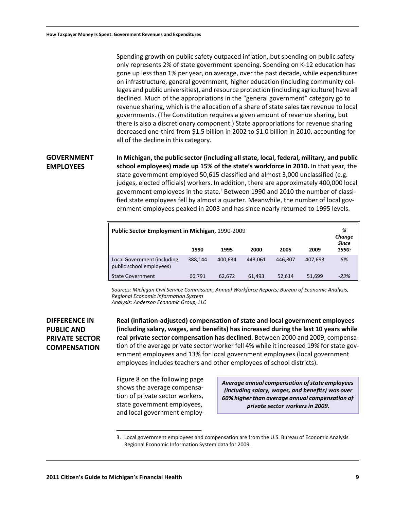Spending growth on public safety outpaced inflation, but spending on public safety only represents 2% of state government spending. Spending on K-12 education has gone up less than 1% per year, on average, over the past decade, while expenditures on infrastructure, general government, higher education (including community colleges and public universities), and resource protection (including agriculture) have all declined. Much of the appropriations in the "general government" category go to revenue sharing, which is the allocation of a share of state sales tax revenue to local governments. (The Constitution requires a given amount of revenue sharing, but there is also a discretionary component.) State appropriations for revenue sharing decreased one-third from \$1.5 billion in 2002 to \$1.0 billion in 2010, accounting for all of the decline in this category.

#### <span id="page-11-0"></span>**GOVERNMENT EMPLOYEES In Michigan, the public sector (including all state, local, federal, military, and public school employees) made up 15% of the state's workforce in 2010.** In that year, the state government employed 50,615 classified and almost 3,000 unclassified (e.g. judges, elected officials) workers. In addition, there are approximately 400,000 local government employees in the state.<sup>3</sup> Between 1990 and 2010 the number of classified state employees fell by almost a quarter. Meanwhile, the number of local government employees peaked in 2003 and has since nearly returned to 1995 levels.

| Public Sector Employment in Michigan, 1990-2009<br>1990<br>1995<br>2005<br>2009<br>2000 |         |         |         |         |         | %<br>Change<br><b>Since</b><br>1990: |
|-----------------------------------------------------------------------------------------|---------|---------|---------|---------|---------|--------------------------------------|
| Local Government (including<br>public school employees)                                 | 388.144 | 400.634 | 443.061 | 446.807 | 407.693 | 5%                                   |
| <b>State Government</b>                                                                 | 66,791  | 62.672  | 61,493  | 52.614  | 51,699  | $-23%$                               |

*Sources: Michigan Civil Service Commission, Annual Workforce Reports; Bureau of Economic Analysis, Regional Economic Information System*

*Analysis: Anderson Economic Group, LLC*

### <span id="page-11-1"></span>**DIFFERENCE IN PUBLIC AND PRIVATE SECTOR COMPENSATION**

**Real (inflation-adjusted) compensation of state and local government employees (including salary, wages, and benefits) has increased during the last 10 years while real private sector compensation has declined.** Between 2000 and 2009, compensation of the average private sector worker fell 4% while it increased 19% for state government employees and 13% for local government employees (local government employees includes teachers and other employees of school districts).

[Figure 8](#page-12-0) on the following page shows the average compensation of private sector workers, state government employees, and local government employ-

*Average annual compensation of state employees (including salary, wages, and benefits) was over 60% higher than average annual compensation of private sector workers in 2009.*

<sup>3.</sup> Local government employees and compensation are from the U.S. Bureau of Economic Analysis Regional Economic Information System data for 2009.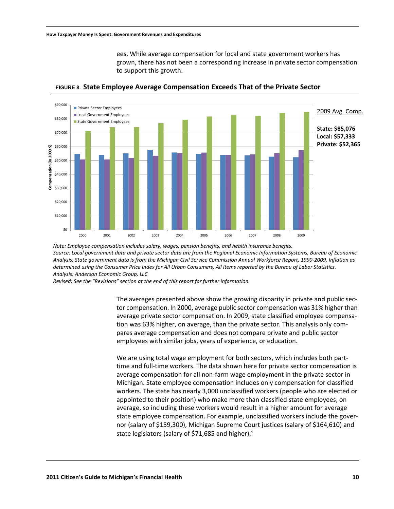ees. While average compensation for local and state government workers has grown, there has not been a corresponding increase in private sector compensation to support this growth.

<span id="page-12-0"></span>

**FIGURE 8. State Employee Average Compensation Exceeds That of the Private Sector**

*Note: Employee compensation includes salary, wages, pension benefits, and health insurance benefits. Source: Local government data and private sector data are from the Regional Economic Information Systems, Bureau of Economic Analysis. State government data is from the Michigan Civil Service Commission Annual Workforce Report, 1990-2009. Inflation as determined using the Consumer Price Index for All Urban Consumers, All Items reported by the Bureau of Labor Statistics. Analysis: Anderson Economic Group, LLC*

*Revised: See the "Revisions" section at the end of this report for further information.*

The averages presented above show the growing disparity in private and public sector compensation. In 2000, average public sector compensation was 31% higher than average private sector compensation. In 2009, state classified employee compensation was 63% higher, on average, than the private sector. This analysis only compares average compensation and does not compare private and public sector employees with similar jobs, years of experience, or education.

We are using total wage employment for both sectors, which includes both parttime and full-time workers. The data shown here for private sector compensation is average compensation for all non-farm wage employment in the private sector in Michigan. State employee compensation includes only compensation for classified workers. The state has nearly 3,000 unclassified workers (people who are elected or appointed to their position) who make more than classified state employees, on average, so including these workers would result in a higher amount for average state employee compensation. For example, unclassified workers include the governor (salary of \$159,300), Michigan Supreme Court justices (salary of \$164,610) and state legislators (salary of \$71,685 and higher).<sup>4</sup>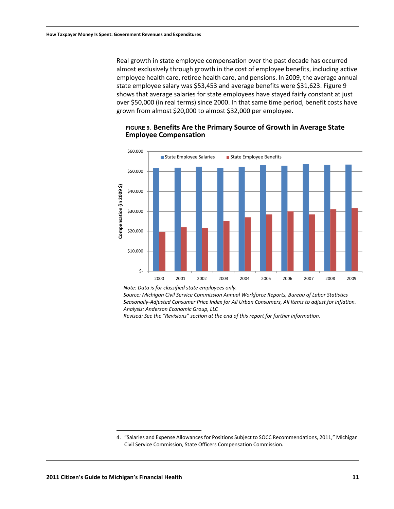Real growth in state employee compensation over the past decade has occurred almost exclusively through growth in the cost of employee benefits, including active employee health care, retiree health care, and pensions. In 2009, the average annual state employee salary was \$53,453 and average benefits were \$31,623. [Figure 9](#page-13-0)  shows that average salaries for state employees have stayed fairly constant at just over \$50,000 (in real terms) since 2000. In that same time period, benefit costs have grown from almost \$20,000 to almost \$32,000 per employee.



#### <span id="page-13-0"></span>**FIGURE 9. Benefits Are the Primary Source of Growth in Average State Employee Compensation**

*Note: Data is for classified state employees only.*

*Source: Michigan Civil Service Commission Annual Workforce Reports, Bureau of Labor Statistics Seasonally-Adjusted Consumer Price Index for All Urban Consumers, All Items to adjust for inflation. Analysis: Anderson Economic Group, LLC*

*Revised: See the "Revisions" section at the end of this report for further information.*

<sup>4. &</sup>quot;Salaries and Expense Allowances for Positions Subject to SOCC Recommendations, 2011," Michigan Civil Service Commission, State Officers Compensation Commission.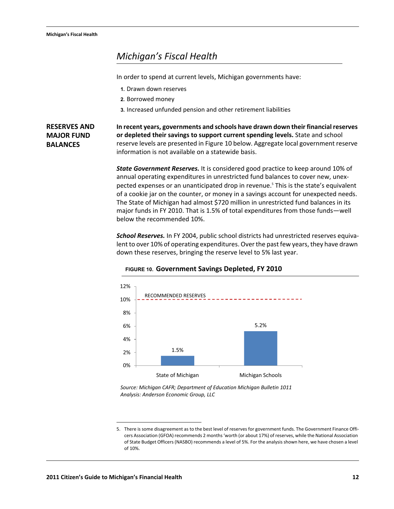# <span id="page-14-0"></span>*Michigan's Fiscal Health*

In order to spend at current levels, Michigan governments have:

- **1.** Drawn down reserves
- **2.** Borrowed money
- **3.** Increased unfunded pension and other retirement liabilities

<span id="page-14-1"></span>**RESERVES AND MAJOR FUND BALANCES**

**In recent years, governments and schools have drawn down their financial reserves or depleted their savings to support current spending levels.** State and school reserve levels are presented in [Figure 10](#page-14-2) below. Aggregate local government reserve information is not available on a statewide basis.

*State Government Reserves.* It is considered good practice to keep around 10% of annual operating expenditures in unrestricted fund balances to cover new, unexpected expenses or an unanticipated drop in revenue.<sup>5</sup> This is the state's equivalent of a cookie jar on the counter, or money in a savings account for unexpected needs. The State of Michigan had almost \$720 million in unrestricted fund balances in its major funds in FY 2010. That is 1.5% of total expenditures from those funds—well below the recommended 10%.

*School Reserves.* In FY 2004, public school districts had unrestricted reserves equivalent to over 10% of operating expenditures. Over the past few years, they have drawn down these reserves, bringing the reserve level to 5% last year.

<span id="page-14-2"></span>

#### **FIGURE 10. Government Savings Depleted, FY 2010**

*Source: Michigan CAFR; Department of Education Michigan Bulletin 1011 Analysis: Anderson Economic Group, LLC*

<sup>5.</sup> There is some disagreement as to the best level of reserves for government funds. The Government Finance Officers Association (GFOA) recommends 2 months 'worth (or about 17%) of reserves, while the National Association of State Budget Officers (NASBO) recommends a level of 5%. For the analysis shown here, we have chosen a level of 10%.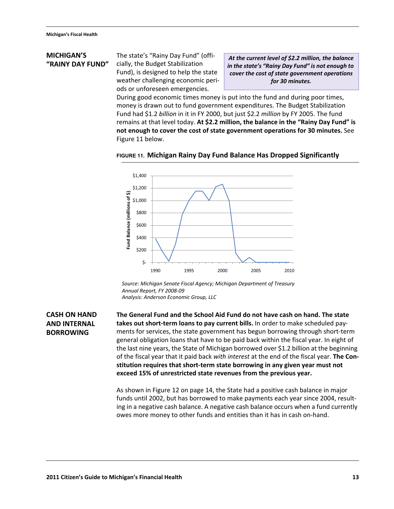#### <span id="page-15-0"></span>**MICHIGAN'S "RAINY DAY FUND"**

The state's "Rainy Day Fund" (officially, the Budget Stabilization Fund), is designed to help the state weather challenging economic periods or unforeseen emergencies.

*At the current level of \$2.2 million, the balance in the state's "Rainy Day Fund" is not enough to cover the cost of state government operations for 30 minutes.*

During good economic times money is put into the fund and during poor times, money is drawn out to fund government expenditures. The Budget Stabilization Fund had \$1.2 *billion* in it in FY 2000, but just \$2.2 *million* by FY 2005. The fund remains at that level today. **At \$2.2 million, the balance in the "Rainy Day Fund" is not enough to cover the cost of state government operations for 30 minutes.** See [Figure 11](#page-15-2) below.

<span id="page-15-2"></span>



*Analysis: Anderson Economic Group, LLC Annual Report, FY 2008-09 Source: Michigan Senate Fiscal Agency; Michigan Department of Treasury*

### <span id="page-15-1"></span>**CASH ON HAND AND INTERNAL BORROWING**

**The General Fund and the School Aid Fund do not have cash on hand. The state takes out short-term loans to pay current bills.** In order to make scheduled payments for services, the state government has begun borrowing through short-term general obligation loans that have to be paid back within the fiscal year. In eight of the last nine years, the State of Michigan borrowed over \$1.2 billion at the beginning of the fiscal year that it paid back *with interest* at the end of the fiscal year. **The Constitution requires that short-term state borrowing in any given year must not exceed 15% of unrestricted state revenues from the previous year.**

As shown in [Figure 12 on page 14](#page-16-1), the State had a positive cash balance in major funds until 2002, but has borrowed to make payments each year since 2004, resulting in a negative cash balance. A negative cash balance occurs when a fund currently owes more money to other funds and entities than it has in cash on-hand.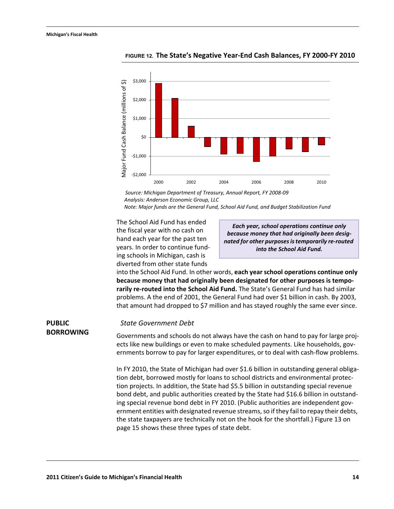<span id="page-16-0"></span>**PUBLIC** 

**BORROWING**



<span id="page-16-1"></span>**FIGURE 12. The State's Negative Year-End Cash Balances, FY 2000-FY 2010**

*Note: Major funds are the General Fund, School Aid Fund, and Budget Stabilization Fund Analysis: Anderson Economic Group, LLC Source: Michigan Department of Treasury, Annual Report, FY 2008-09*

The School Aid Fund has ended the fiscal year with no cash on hand each year for the past ten years. In order to continue funding schools in Michigan, cash is diverted from other state funds

*Each year, school operations continue only because money that had originally been designated for other purposes is temporarily re-routed into the School Aid Fund.*

into the School Aid Fund. In other words, **each year school operations continue only because money that had originally been designated for other purposes is temporarily re-routed into the School Aid Fund.** The State's General Fund has had similar problems. A the end of 2001, the General Fund had over \$1 billion in cash. By 2003, that amount had dropped to \$7 million and has stayed roughly the same ever since.

#### *State Government Debt*

Governments and schools do not always have the cash on hand to pay for large projects like new buildings or even to make scheduled payments. Like households, governments borrow to pay for larger expenditures, or to deal with cash-flow problems.

In FY 2010, the State of Michigan had over \$1.6 billion in outstanding general obligation debt, borrowed mostly for loans to school districts and environmental protection projects. In addition, the State had \$5.5 billion in outstanding special revenue bond debt, and public authorities created by the State had \$16.6 billion in outstanding special revenue bond debt in FY 2010. (Public authorities are independent government entities with designated revenue streams, so if they fail to repay their debts, the state taxpayers are technically not on the hook for the shortfall.) Figure 13 on page 15 shows these three types of state debt.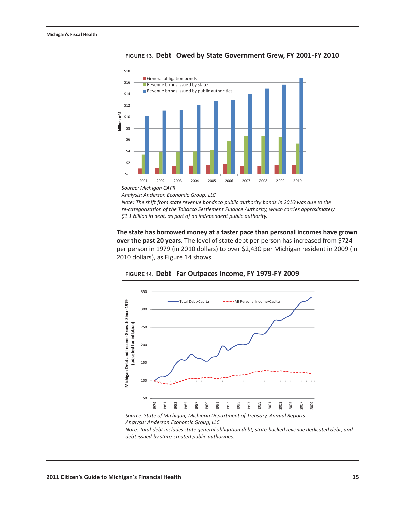

**FIGURE 13. Debt Owed by State Government Grew, FY 2001ͲFY 2010**

*Analysis: Anderson Economic Group, LLC*

*Note: The shift from state revenue bonds to public authority bonds in 2010 was due to the reͲcategorization of the Tobacco Settlement Finance Authority, which carries approximately \$1.1 billion in debt, as part of an independent public authority.*

**The state has borrowed money at a faster pace than personal incomes have grown over the past 20 years.** The level of state debt per person has increased from \$724 per person in 1979 (in 2010 dollars) to over \$2,430 per Michigan resident in 2009 (in 2010 dollars), as [Figure 1](#page-17-0)4 shows.



<span id="page-17-0"></span>**FIGURE 14. Debt Far Outpaces Income, FY 1979ͲFY 2009**

Please purchase 'e-PDF Converter and Creator' on http://www.e-pdfconverter.com to remove this message. *Analysis: Anderson Economic Group, LLC Source: State of Michigan, Michigan Department of Treasury, Annual Reports*

*Note: Total debt includes state general obligation debt, stateͲbacked revenue dedicated debt, and*  $debt$  *issued by state-created public authorities.*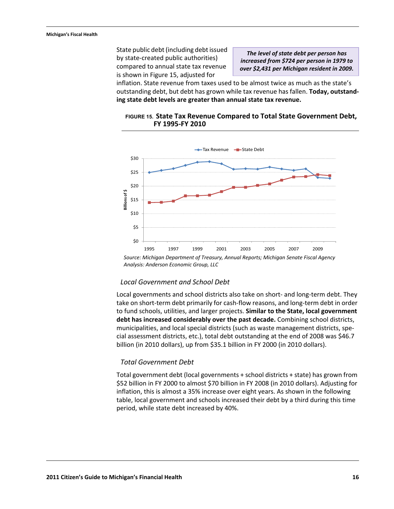State public debt (including debt issued by state-created public authorities) compared to annual state tax revenue is shown in Figure 15, adjusted for

*The level of state debt per person has increased from \$724 per person in 1979 to over \$2,431 per Michigan resident in 2009.*

inflation. State revenue from taxes used to be almost twice as much as the state's outstanding debt, but debt has grown while tax revenue has fallen. **Today, outstanding state debt levels are greater than annual state tax revenue.**



#### **FIGURE 15. State Tax Revenue Compared to Total State Government Debt, FY 1995-FY 2010**

*Analysis: Anderson Economic Group, LLC Source: Michigan Department of Treasury, Annual Reports; Michigan Senate Fiscal Agency*

#### *Local Government and School Debt*

Local governments and school districts also take on short- and long-term debt. They take on short-term debt primarily for cash-flow reasons, and long-term debt in order to fund schools, utilities, and larger projects. **Similar to the State, local government debt has increased considerably over the past decade.** Combining school districts, municipalities, and local special districts (such as waste management districts, special assessment districts, etc.), total debt outstanding at the end of 2008 was \$46.7 billion (in 2010 dollars), up from \$35.1 billion in FY 2000 (in 2010 dollars).

#### *Total Government Debt*

Total government debt (local governments + school districts + state) has grown from \$52 billion in FY 2000 to almost \$70 billion in FY 2008 (in 2010 dollars). Adjusting for inflation, this is almost a 35% increase over eight years. As shown in the following table, local government and schools increased their debt by a third during this time period, while state debt increased by 40%.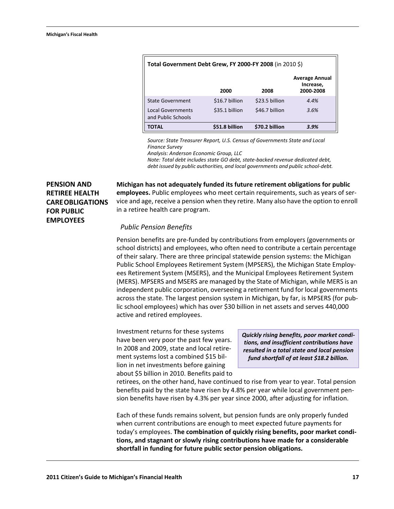| Total Government Debt Grew, FY 2000-FY 2008 (in 2010 \$) |                |                |                                                 |  |  |  |
|----------------------------------------------------------|----------------|----------------|-------------------------------------------------|--|--|--|
|                                                          | 2000           | 2008           | <b>Average Annual</b><br>Increase,<br>2000-2008 |  |  |  |
| <b>State Government</b>                                  | \$16.7 billion | \$23.5 billion | 4.4%                                            |  |  |  |
| <b>Local Governments</b><br>and Public Schools           | \$35.1 billion | \$46.7 billion | 3.6%                                            |  |  |  |
| <b>TOTAL</b>                                             | \$51.8 billion | \$70.2 billion | 3.9%                                            |  |  |  |

*Source: State Treasurer Report, U.S. Census of Governments State and Local Finance Survey*

*Analysis: Anderson Economic Group, LLC*

*Note: Total debt includes state GO debt, state-backed revenue dedicated debt, debt issued by public authorities, and local governments and public school-debt.*

## <span id="page-19-0"></span>**PENSION AND RETIREE HEALTH CARE OBLIGATIONS FOR PUBLIC EMPLOYEES**

**Michigan has not adequately funded its future retirement obligations for public employees.** Public employees who meet certain requirements, such as years of service and age, receive a pension when they retire. Many also have the option to enroll in a retiree health care program.

#### *Public Pension Benefits*

Pension benefits are pre-funded by contributions from employers (governments or school districts) and employees, who often need to contribute a certain percentage of their salary. There are three principal statewide pension systems: the Michigan Public School Employees Retirement System (MPSERS), the Michigan State Employees Retirement System (MSERS), and the Municipal Employees Retirement System (MERS). MPSERS and MSERS are managed by the State of Michigan, while MERS is an independent public corporation, overseeing a retirement fund for local governments across the state. The largest pension system in Michigan, by far, is MPSERS (for public school employees) which has over \$30 billion in net assets and serves 440,000 active and retired employees.

Investment returns for these systems have been very poor the past few years. In 2008 and 2009, state and local retirement systems lost a combined \$15 billion in net investments before gaining about \$5 billion in 2010. Benefits paid to

*Quickly rising benefits, poor market conditions, and insufficient contributions have resulted in a total state and local pension fund shortfall of at least \$18.2 billion.*

retirees, on the other hand, have continued to rise from year to year. Total pension benefits paid by the state have risen by 4.8% per year while local government pension benefits have risen by 4.3% per year since 2000, after adjusting for inflation.

Each of these funds remains solvent, but pension funds are only properly funded when current contributions are enough to meet expected future payments for today's employees. **The combination of quickly rising benefits, poor market conditions, and stagnant or slowly rising contributions have made for a considerable shortfall in funding for future public sector pension obligations.**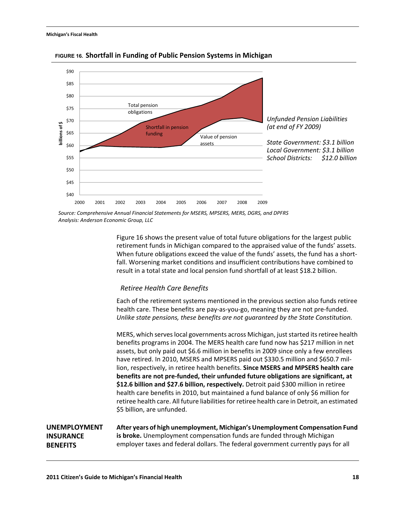

#### **FIGURE 16. Shortfall in Funding of Public Pension Systems in Michigan**

*Analysis: Anderson Economic Group, LLC Source: Comprehensive Annual Financial Statements for MSERS, MPSERS, MERS, DGRS, and DPFRS*

> Figure 16 shows the present value of total future obligations for the largest public retirement funds in Michigan compared to the appraised value of the funds' assets. When future obligations exceed the value of the funds' assets, the fund has a shortfall. Worsening market conditions and insufficient contributions have combined to result in a total state and local pension fund shortfall of at least \$18.2 billion.

#### *Retiree Health Care Benefits*

Each of the retirement systems mentioned in the previous section also funds retiree health care. These benefits are pay-as-you-go, meaning they are not pre-funded. *Unlike state pensions, these benefits are not guaranteed by the State Constitution.*

MERS, which serves local governments across Michigan, just started its retiree health benefits programs in 2004. The MERS health care fund now has \$217 million in net assets, but only paid out \$6.6 million in benefits in 2009 since only a few enrollees have retired. In 2010, MSERS and MPSERS paid out \$330.5 million and \$650.7 million, respectively, in retiree health benefits. **Since MSERS and MPSERS health care benefits are not pre-funded, their unfunded future obligations are significant, at \$12.6 billion and \$27.6 billion, respectively.** Detroit paid \$300 million in retiree health care benefits in 2010, but maintained a fund balance of only \$6 million for retiree health care. All future liabilities for retiree health care in Detroit, an estimated \$5 billion, are unfunded.

<span id="page-20-1"></span><span id="page-20-0"></span>**UNEMPLOYMENT INSURANCE BENEFITS After years of high unemployment, Michigan's Unemployment Compensation Fund is broke.** Unemployment compensation funds are funded through Michigan employer taxes and federal dollars. The federal government currently pays for all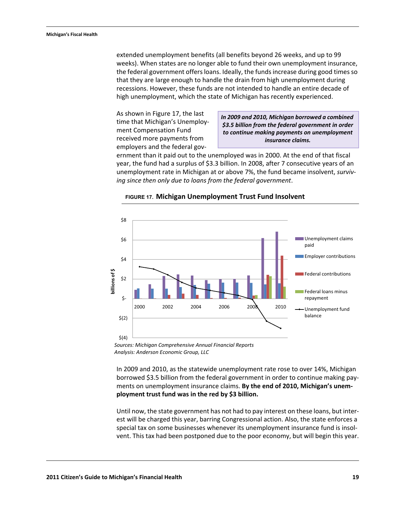#### **Michigan's Fiscal Health**

extended unemployment benefits (all benefits beyond 26 weeks, and up to 99 weeks). When states are no longer able to fund their own unemployment insurance, the federal government offers loans. Ideally, the funds increase during good times so that they are large enough to handle the drain from high unemployment during recessions. However, these funds are not intended to handle an entire decade of high unemployment, which the state of Michigan has recently experienced.

As shown in [Figure 17,](#page-21-0) the last time that Michigan's Unemployment Compensation Fund received more payments from employers and the federal gov-

*In 2009 and 2010, Michigan borrowed a combined \$3.5 billion from the federal government in order to continue making payments on unemployment insurance claims.*

ernment than it paid out to the unemployed was in 2000. At the end of that fiscal year, the fund had a surplus of \$3.3 billion. In 2008, after 7 consecutive years of an unemployment rate in Michigan at or above 7%, the fund became insolvent, *surviving since then only due to loans from the federal government*.



#### <span id="page-21-0"></span>**FIGURE 17. Michigan Unemployment Trust Fund Insolvent**

*Sources: Michigan Comprehensive Annual Financial Reports Analysis: Anderson Economic Group, LLC*

In 2009 and 2010, as the statewide unemployment rate rose to over 14%, Michigan borrowed \$3.5 billion from the federal government in order to continue making payments on unemployment insurance claims. **By the end of 2010, Michigan's unemployment trust fund was in the red by \$3 billion.**

Until now, the state government has not had to pay interest on these loans, but interest will be charged this year, barring Congressional action. Also, the state enforces a special tax on some businesses whenever its unemployment insurance fund is insolvent. This tax had been postponed due to the poor economy, but will begin this year.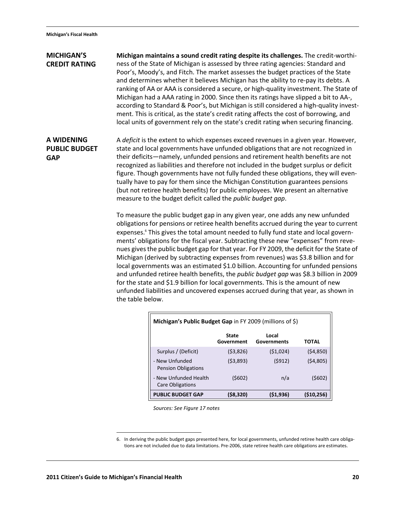#### <span id="page-22-0"></span>**MICHIGAN'S CREDIT RATING Michigan maintains a sound credit rating despite its challenges.** The credit-worthiness of the State of Michigan is assessed by three rating agencies: Standard and Poor's, Moody's, and Fitch. The market assesses the budget practices of the State and determines whether it believes Michigan has the ability to re-pay its debts. A

ranking of AA or AAA is considered a secure, or high-quality investment. The State of Michigan had a AAA rating in 2000. Since then its ratings have slipped a bit to AA-, according to Standard & Poor's, but Michigan is still considered a high-quality investment. This is critical, as the state's credit rating affects the cost of borrowing, and local units of government rely on the state's credit rating when securing financing.

## <span id="page-22-1"></span>**A WIDENING PUBLIC BUDGET GAP**

A *deficit* is the extent to which expenses exceed revenues in a given year. However, state and local governments have unfunded obligations that are not recognized in their deficits—namely, unfunded pensions and retirement health benefits are not recognized as liabilities and therefore not included in the budget surplus or deficit figure. Though governments have not fully funded these obligations, they will eventually have to pay for them since the Michigan Constitution guarantees pensions (but not retiree health benefits) for public employees. We present an alternative measure to the budget deficit called the *public budget gap*.

To measure the public budget gap in any given year, one adds any new unfunded obligations for pensions or retiree health benefits accrued during the year to current expenses.<sup>6</sup> This gives the total amount needed to fully fund state and local governments' obligations for the fiscal year. Subtracting these new "expenses" from revenues gives the public budget gap for that year. For FY 2009, the deficit for the State of Michigan (derived by subtracting expenses from revenues) was \$3.8 billion and for local governments was an estimated \$1.0 billion. Accounting for unfunded pensions and unfunded retiree health benefits, the *public budget gap* was \$8.3 billion in 2009 for the state and \$1.9 billion for local governments. This is the amount of new unfunded liabilities and uncovered expenses accrued during that year, as shown in the table below.

| Michigan's Public Budget Gap in FY 2009 (millions of \$) |                            |                      |              |  |  |
|----------------------------------------------------------|----------------------------|----------------------|--------------|--|--|
|                                                          | <b>State</b><br>Government | Local<br>Governments | TOTAL        |  |  |
| Surplus / (Deficit)                                      | (53,826)                   | (51,024)             | (54, 850)    |  |  |
| - New Unfunded<br><b>Pension Obligations</b>             | (53,893)                   | (5912)               | (54,805)     |  |  |
| - New Unfunded Health<br><b>Care Obligations</b>         | (\$602)                    | n/a                  | (\$602)      |  |  |
| <b>PUBLIC BUDGET GAP</b>                                 | (\$8,320)                  | (\$1,936)            | ( \$10, 256) |  |  |

*Sources: See Figure 17 notes*

<sup>6.</sup> In deriving the public budget gaps presented here, for local governments, unfunded retiree health care obligations are not included due to data limitations. Pre-2006, state retiree health care obligations are estimates.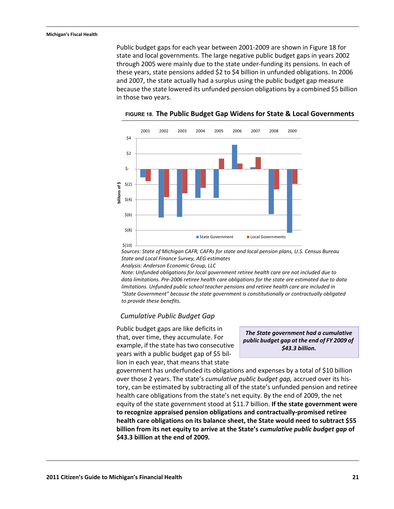#### **Michigan's Fiscal Health**

Public budget gaps for each year between 2001-2009 are shown in [Figure 18](#page-23-0) for state and local governments. The large negative public budget gaps in years 2002 through 2005 were mainly due to the state under-funding its pensions. In each of these years, state pensions added \$2 to \$4 billion in unfunded obligations. In 2006 and 2007, the state actually had a surplus using the public budget gap measure because the state lowered its unfunded pension obligations by a combined \$5 billion in those two years.



<span id="page-23-0"></span>**FIGURE 18. The Public Budget Gap Widens for State & Local Governments**

*State and Local Finance Survey, AEG estimates Sources: State of Michigan CAFR, CAFRs for state and local pension plans, U.S. Census Bureau*

*Analysis: Anderson Economic Group, LLC*

*data limitations. Pre-2006 retiree health care obligations for the state are estimated due to data Note: Unfunded obligations for local government retiree health care are not included due to limitations. Unfunded public school teacher pensions and retiree health care are included in "State Government" because the state government is constitutionally or contractually obligated to provide these benefits.*

#### *Cumulative Public Budget Gap*

Public budget gaps are like deficits in that, over time, they accumulate. For example, if the state has two consecutive years with a public budget gap of \$5 billion in each year, that means that state

*The State government had a cumulative public budget gap at the end of FY 2009 of \$43.3 billion.*

government has underfunded its obligations and expenses by a total of \$10 billion over those 2 years. The state's *cumulative public budget gap,* accrued over its history, can be estimated by subtracting all of the state's unfunded pension and retiree health care obligations from the state's net equity. By the end of 2009, the net equity of the state government stood at \$11.7 billion. **If the state government were to recognize appraised pension obligations and contractually-promised retiree health care obligations on its balance sheet, the State would need to subtract \$55 billion from its net equity to arrive at the State's** *cumulative public budget gap* **of \$43.3 billion at the end of 2009***.*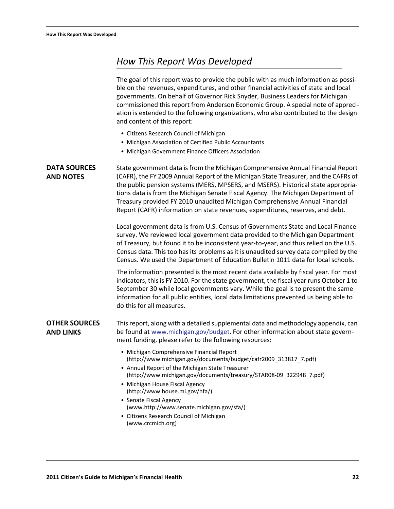# <span id="page-24-0"></span>*How This Report Was Developed*

The goal of this report was to provide the public with as much information as possible on the revenues, expenditures, and other financial activities of state and local governments. On behalf of Governor Rick Snyder, Business Leaders for Michigan commissioned this report from Anderson Economic Group. A special note of appreciation is extended to the following organizations, who also contributed to the design and content of this report:

- **•** Citizens Research Council of Michigan
- **•** Michigan Association of Certified Public Accountants
- **•** Michigan Government Finance Officers Association

<span id="page-24-2"></span><span id="page-24-1"></span>

| <b>DATA SOURCES</b><br><b>AND NOTES</b>  | State government data is from the Michigan Comprehensive Annual Financial Report<br>(CAFR), the FY 2009 Annual Report of the Michigan State Treasurer, and the CAFRs of<br>the public pension systems (MERS, MPSERS, and MSERS). Historical state appropria-<br>tions data is from the Michigan Senate Fiscal Agency. The Michigan Department of<br>Treasury provided FY 2010 unaudited Michigan Comprehensive Annual Financial<br>Report (CAFR) information on state revenues, expenditures, reserves, and debt.<br>Local government data is from U.S. Census of Governments State and Local Finance |
|------------------------------------------|-------------------------------------------------------------------------------------------------------------------------------------------------------------------------------------------------------------------------------------------------------------------------------------------------------------------------------------------------------------------------------------------------------------------------------------------------------------------------------------------------------------------------------------------------------------------------------------------------------|
|                                          | survey. We reviewed local government data provided to the Michigan Department<br>of Treasury, but found it to be inconsistent year-to-year, and thus relied on the U.S.<br>Census data. This too has its problems as it is unaudited survey data compiled by the<br>Census. We used the Department of Education Bulletin 1011 data for local schools.                                                                                                                                                                                                                                                 |
|                                          | The information presented is the most recent data available by fiscal year. For most<br>indicators, this is FY 2010. For the state government, the fiscal year runs October 1 to<br>September 30 while local governments vary. While the goal is to present the same<br>information for all public entities, local data limitations prevented us being able to<br>do this for all measures.                                                                                                                                                                                                           |
| <b>OTHER SOURCES</b><br><b>AND LINKS</b> | This report, along with a detailed supplemental data and methodology appendix, can<br>be found at www.michigan.gov/budget. For other information about state govern-<br>ment funding, please refer to the following resources:                                                                                                                                                                                                                                                                                                                                                                        |
|                                          | • Michigan Comprehensive Financial Report<br>(http://www.michigan.gov/documents/budget/cafr2009_313817_7.pdf)<br>• Annual Report of the Michigan State Treasurer<br>(http://www.michigan.gov/documents/treasury/STAR08-09_322948_7.pdf)<br>• Michigan House Fiscal Agency<br>(http://www.house.mi.gov/hfa/)<br>• Senate Fiscal Agency<br>(www.http://www.senate.michigan.gov/sfa/)<br>• Citizens Research Council of Michigan<br>(www.crcmich.org)                                                                                                                                                    |